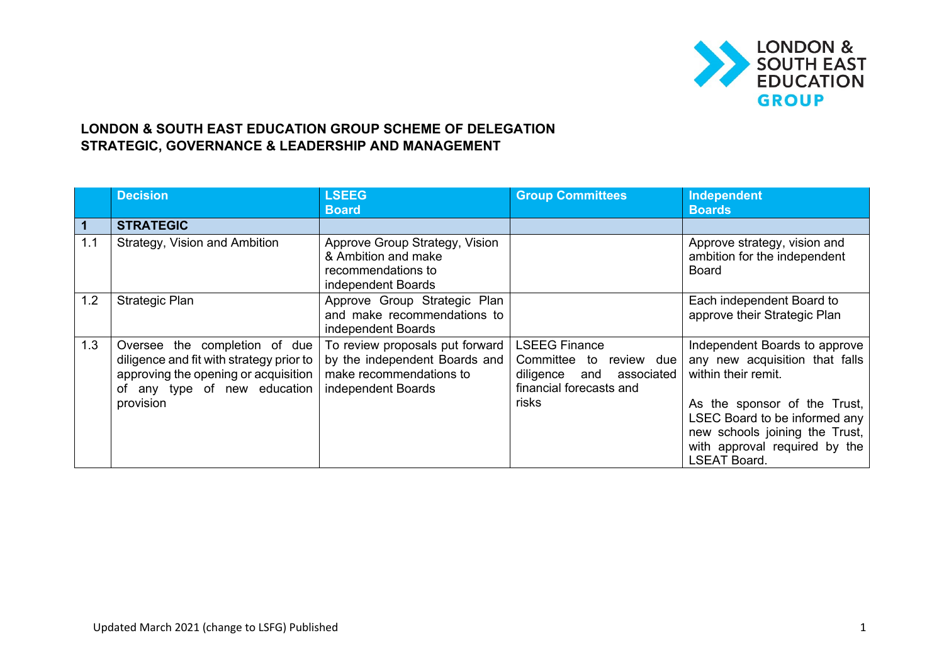

# **LONDON & SOUTH EAST EDUCATION GROUP SCHEME OF DELEGATION STRATEGIC, GOVERNANCE & LEADERSHIP AND MANAGEMENT**

|     | <b>Decision</b>                                                                                                                                                | <b>LSEEG</b><br><b>Board</b>                                                                                      | <b>Group Committees</b>                                                                                         | Independent<br><b>Boards</b>                                                                                                                                                                                                                      |
|-----|----------------------------------------------------------------------------------------------------------------------------------------------------------------|-------------------------------------------------------------------------------------------------------------------|-----------------------------------------------------------------------------------------------------------------|---------------------------------------------------------------------------------------------------------------------------------------------------------------------------------------------------------------------------------------------------|
|     | <b>STRATEGIC</b>                                                                                                                                               |                                                                                                                   |                                                                                                                 |                                                                                                                                                                                                                                                   |
| 1.1 | Strategy, Vision and Ambition                                                                                                                                  | Approve Group Strategy, Vision<br>& Ambition and make<br>recommendations to<br>independent Boards                 |                                                                                                                 | Approve strategy, vision and<br>ambition for the independent<br><b>Board</b>                                                                                                                                                                      |
| 1.2 | <b>Strategic Plan</b>                                                                                                                                          | Approve Group Strategic Plan<br>and make recommendations to<br>independent Boards                                 |                                                                                                                 | Each independent Board to<br>approve their Strategic Plan                                                                                                                                                                                         |
| 1.3 | Oversee the completion of due<br>diligence and fit with strategy prior to<br>approving the opening or acquisition<br>of any type of new education<br>provision | To review proposals put forward<br>by the independent Boards and<br>make recommendations to<br>independent Boards | <b>LSEEG Finance</b><br>Committee to review due<br>diligence and associated<br>financial forecasts and<br>risks | Independent Boards to approve<br>any new acquisition that falls<br>within their remit.<br>As the sponsor of the Trust,<br>LSEC Board to be informed any<br>new schools joining the Trust,<br>with approval required by the<br><b>LSEAT Board.</b> |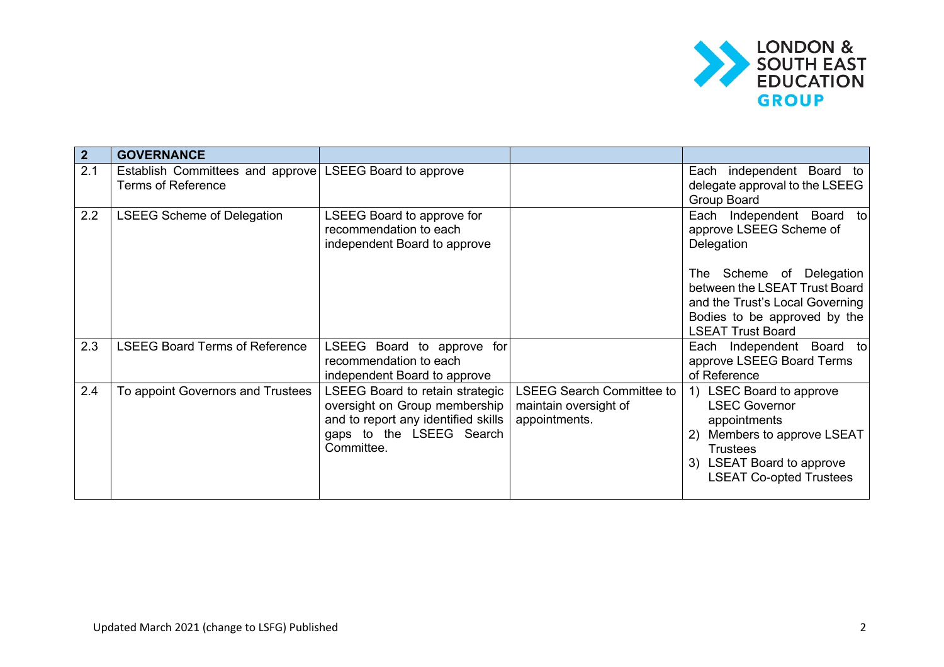

| $\overline{2}$ | <b>GOVERNANCE</b>                                                                     |                                                                                                                                                   |                                                                            |                                                                                                                                                                                                    |
|----------------|---------------------------------------------------------------------------------------|---------------------------------------------------------------------------------------------------------------------------------------------------|----------------------------------------------------------------------------|----------------------------------------------------------------------------------------------------------------------------------------------------------------------------------------------------|
| 2.1            | Establish Committees and approve  LSEEG Board to approve<br><b>Terms of Reference</b> |                                                                                                                                                   |                                                                            | Each independent Board to<br>delegate approval to the LSEEG<br>Group Board                                                                                                                         |
| 2.2            | <b>LSEEG Scheme of Delegation</b>                                                     | LSEEG Board to approve for<br>recommendation to each<br>independent Board to approve                                                              |                                                                            | Each Independent Board to<br>approve LSEEG Scheme of<br>Delegation<br>The Scheme of Delegation<br>between the LSEAT Trust Board<br>and the Trust's Local Governing<br>Bodies to be approved by the |
|                |                                                                                       |                                                                                                                                                   |                                                                            | <b>LSEAT Trust Board</b>                                                                                                                                                                           |
| 2.3            | <b>LSEEG Board Terms of Reference</b>                                                 | LSEEG Board to approve for<br>recommendation to each<br>independent Board to approve                                                              |                                                                            | Each Independent Board to<br>approve LSEEG Board Terms<br>of Reference                                                                                                                             |
| 2.4            | To appoint Governors and Trustees                                                     | LSEEG Board to retain strategic<br>oversight on Group membership<br>and to report any identified skills<br>gaps to the LSEEG Search<br>Committee. | <b>LSEEG Search Committee to</b><br>maintain oversight of<br>appointments. | 1) LSEC Board to approve<br><b>LSEC Governor</b><br>appointments<br>Members to approve LSEAT<br>2)<br><b>Trustees</b><br>3) LSEAT Board to approve<br><b>LSEAT Co-opted Trustees</b>               |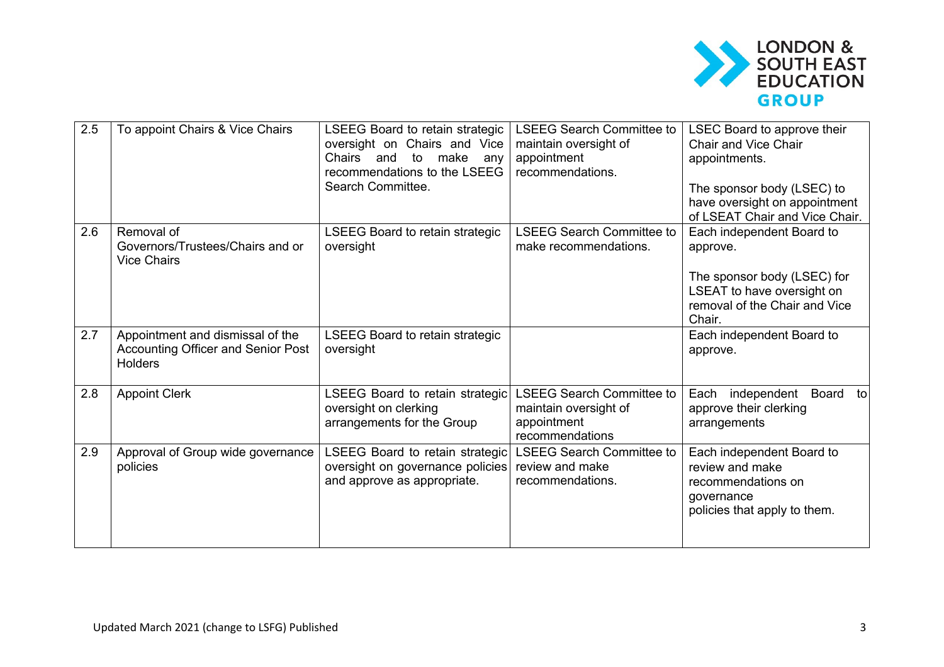

| 2.5 | To appoint Chairs & Vice Chairs                                                                 | LSEEG Board to retain strategic<br>oversight on Chairs and Vice<br>make any<br>Chairs and<br>to<br>recommendations to the LSEEG<br>Search Committee. | <b>LSEEG Search Committee to</b><br>maintain oversight of<br>appointment<br>recommendations. | LSEC Board to approve their<br>Chair and Vice Chair<br>appointments.<br>The sponsor body (LSEC) to<br>have oversight on appointment<br>of LSEAT Chair and Vice Chair. |
|-----|-------------------------------------------------------------------------------------------------|------------------------------------------------------------------------------------------------------------------------------------------------------|----------------------------------------------------------------------------------------------|-----------------------------------------------------------------------------------------------------------------------------------------------------------------------|
| 2.6 | Removal of<br>Governors/Trustees/Chairs and or<br><b>Vice Chairs</b>                            | LSEEG Board to retain strategic<br>oversight                                                                                                         | <b>LSEEG Search Committee to</b><br>make recommendations.                                    | Each independent Board to<br>approve.<br>The sponsor body (LSEC) for<br>LSEAT to have oversight on<br>removal of the Chair and Vice<br>Chair.                         |
| 2.7 | Appointment and dismissal of the<br><b>Accounting Officer and Senior Post</b><br><b>Holders</b> | LSEEG Board to retain strategic<br>oversight                                                                                                         |                                                                                              | Each independent Board to<br>approve.                                                                                                                                 |
| 2.8 | <b>Appoint Clerk</b>                                                                            | LSEEG Board to retain strategic<br>oversight on clerking<br>arrangements for the Group                                                               | <b>LSEEG Search Committee to</b><br>maintain oversight of<br>appointment<br>recommendations  | Each<br>independent<br>Board to<br>approve their clerking<br>arrangements                                                                                             |
| 2.9 | Approval of Group wide governance<br>policies                                                   | LSEEG Board to retain strategic<br>oversight on governance policies<br>and approve as appropriate.                                                   | <b>LSEEG Search Committee to</b><br>review and make<br>recommendations.                      | Each independent Board to<br>review and make<br>recommendations on<br>governance<br>policies that apply to them.                                                      |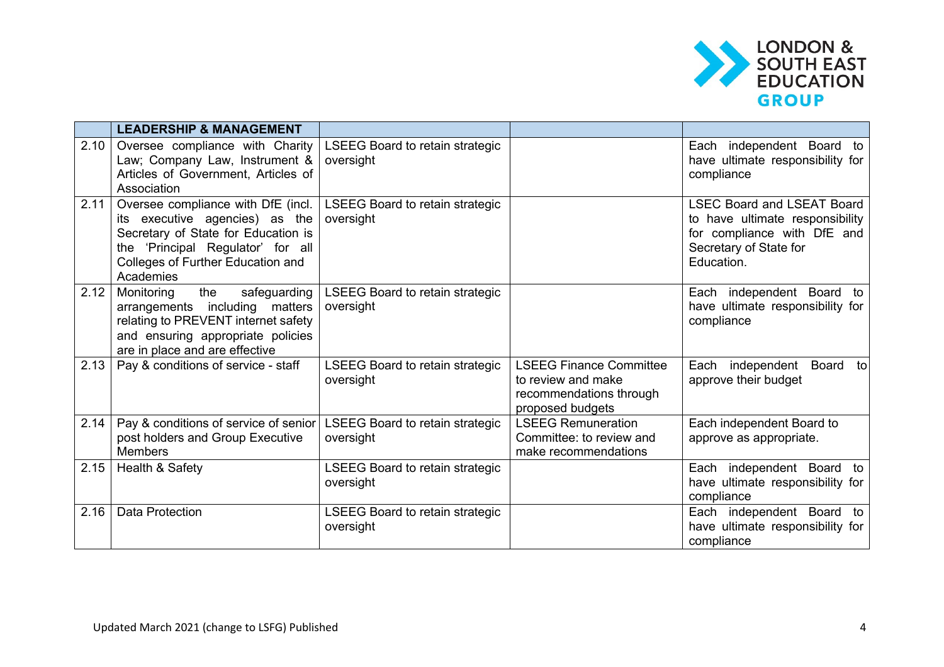

|      | <b>LEADERSHIP &amp; MANAGEMENT</b>                                                                                                                                                                 |                                              |                                                                                                     |                                                                                                                                             |
|------|----------------------------------------------------------------------------------------------------------------------------------------------------------------------------------------------------|----------------------------------------------|-----------------------------------------------------------------------------------------------------|---------------------------------------------------------------------------------------------------------------------------------------------|
| 2.10 | Oversee compliance with Charity<br>Law; Company Law, Instrument &<br>Articles of Government, Articles of<br>Association                                                                            | LSEEG Board to retain strategic<br>oversight |                                                                                                     | Each independent Board to<br>have ultimate responsibility for<br>compliance                                                                 |
| 2.11 | Oversee compliance with DfE (incl.<br>its executive agencies) as the<br>Secretary of State for Education is<br>the 'Principal Regulator' for all<br>Colleges of Further Education and<br>Academies | LSEEG Board to retain strategic<br>oversight |                                                                                                     | <b>LSEC Board and LSEAT Board</b><br>to have ultimate responsibility<br>for compliance with DfE and<br>Secretary of State for<br>Education. |
| 2.12 | Monitoring<br>safeguarding<br>the<br>arrangements including<br>matters<br>relating to PREVENT internet safety<br>and ensuring appropriate policies<br>are in place and are effective               | LSEEG Board to retain strategic<br>oversight |                                                                                                     | Each independent Board to<br>have ultimate responsibility for<br>compliance                                                                 |
| 2.13 | Pay & conditions of service - staff                                                                                                                                                                | LSEEG Board to retain strategic<br>oversight | <b>LSEEG Finance Committee</b><br>to review and make<br>recommendations through<br>proposed budgets | Each independent Board to<br>approve their budget                                                                                           |
| 2.14 | Pay & conditions of service of senior<br>post holders and Group Executive<br><b>Members</b>                                                                                                        | LSEEG Board to retain strategic<br>oversight | <b>LSEEG Remuneration</b><br>Committee: to review and<br>make recommendations                       | Each independent Board to<br>approve as appropriate.                                                                                        |
| 2.15 | <b>Health &amp; Safety</b>                                                                                                                                                                         | LSEEG Board to retain strategic<br>oversight |                                                                                                     | Each independent Board to<br>have ultimate responsibility for<br>compliance                                                                 |
| 2.16 | <b>Data Protection</b>                                                                                                                                                                             | LSEEG Board to retain strategic<br>oversight |                                                                                                     | Each independent Board to<br>have ultimate responsibility for<br>compliance                                                                 |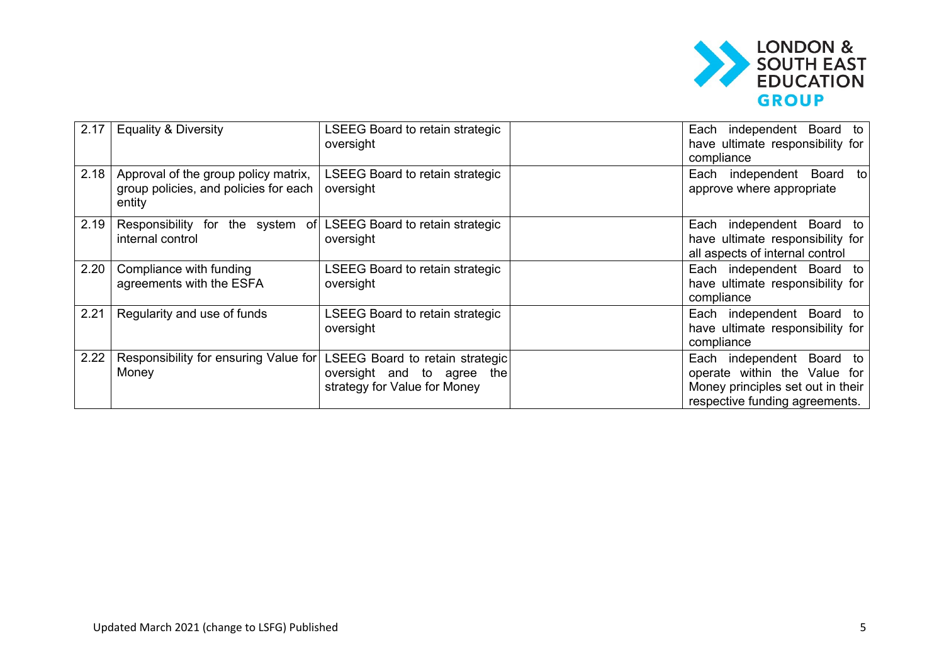

| 2.17 | <b>Equality &amp; Diversity</b>                                                         | LSEEG Board to retain strategic<br>oversight                                                      | independent Board to<br>Each<br>have ultimate responsibility for<br>compliance                                                   |
|------|-----------------------------------------------------------------------------------------|---------------------------------------------------------------------------------------------------|----------------------------------------------------------------------------------------------------------------------------------|
| 2.18 | Approval of the group policy matrix,<br>group policies, and policies for each<br>entity | LSEEG Board to retain strategic<br>oversight                                                      | Each independent Board to<br>approve where appropriate                                                                           |
| 2.19 | Responsibility for<br>the system of<br>internal control                                 | LSEEG Board to retain strategic<br>oversight                                                      | Each<br>independent Board to<br>have ultimate responsibility for<br>all aspects of internal control                              |
| 2.20 | Compliance with funding<br>agreements with the ESFA                                     | LSEEG Board to retain strategic<br>oversight                                                      | Each independent Board to<br>have ultimate responsibility for<br>compliance                                                      |
| 2.21 | Regularity and use of funds                                                             | LSEEG Board to retain strategic<br>oversight                                                      | Each independent Board to<br>have ultimate responsibility for<br>compliance                                                      |
| 2.22 | Responsibility for ensuring Value for<br>Money                                          | LSEEG Board to retain strategic<br>oversight and to agree<br>thel<br>strategy for Value for Money | Each independent Board to<br>operate within the Value for<br>Money principles set out in their<br>respective funding agreements. |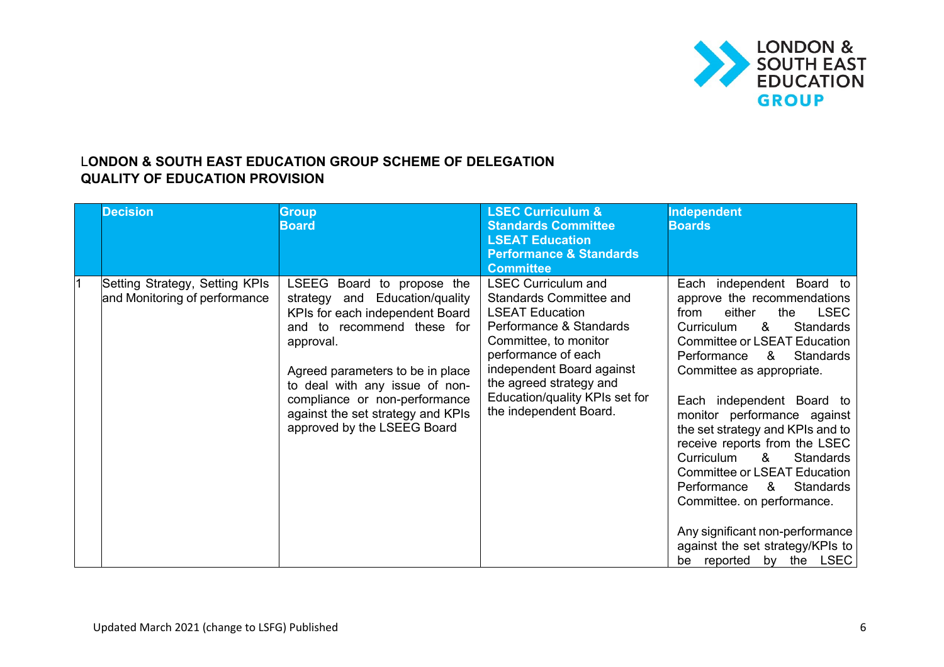

## L**ONDON & SOUTH EAST EDUCATION GROUP SCHEME OF DELEGATION QUALITY OF EDUCATION PROVISION**

| <b>Decision</b>                                                 | <b>Group</b><br><b>Board</b>                                                                                                                                                                                                                                                                                          | <b>LSEC Curriculum &amp;</b><br><b>Standards Committee</b><br><b>LSEAT Education</b><br><b>Performance &amp; Standards</b><br><b>Committee</b>                                                                                                                                        | <b>Independent</b><br><b>Boards</b>                                                                                                                                                                                                                                                                                                                                                                                                                                                                                                                                                                                          |
|-----------------------------------------------------------------|-----------------------------------------------------------------------------------------------------------------------------------------------------------------------------------------------------------------------------------------------------------------------------------------------------------------------|---------------------------------------------------------------------------------------------------------------------------------------------------------------------------------------------------------------------------------------------------------------------------------------|------------------------------------------------------------------------------------------------------------------------------------------------------------------------------------------------------------------------------------------------------------------------------------------------------------------------------------------------------------------------------------------------------------------------------------------------------------------------------------------------------------------------------------------------------------------------------------------------------------------------------|
| Setting Strategy, Setting KPIs<br>and Monitoring of performance | LSEEG Board to propose the<br>strategy and Education/quality<br>KPIs for each independent Board<br>and to recommend these for<br>approval.<br>Agreed parameters to be in place<br>to deal with any issue of non-<br>compliance or non-performance<br>against the set strategy and KPIs<br>approved by the LSEEG Board | <b>LSEC Curriculum and</b><br><b>Standards Committee and</b><br><b>LSEAT Education</b><br>Performance & Standards<br>Committee, to monitor<br>performance of each<br>independent Board against<br>the agreed strategy and<br>Education/quality KPIs set for<br>the independent Board. | Each independent Board to<br>approve the recommendations<br><b>LSEC</b><br>either<br>the<br>from<br>&<br>Standards<br>Curriculum<br><b>Committee or LSEAT Education</b><br><b>Standards</b><br>Performance<br>&<br>Committee as appropriate.<br>Each independent Board to<br>monitor performance against<br>the set strategy and KPIs and to<br>receive reports from the LSEC<br>&<br>Curriculum<br><b>Standards</b><br>Committee or LSEAT Education<br>&<br><b>Standards</b><br>Performance<br>Committee. on performance.<br>Any significant non-performance<br>against the set strategy/KPIs to<br>be reported by the LSEC |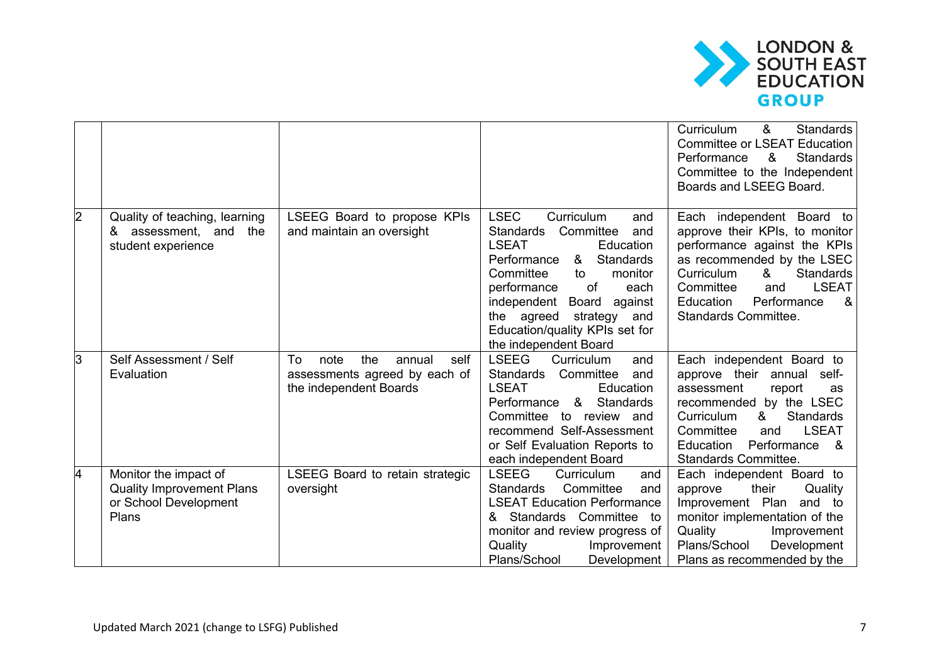

|                |                                                                                             |                                                                                                |                                                                                                                                                                                                                                                                                                                               | Curriculum<br>&<br><b>Standards</b><br>Committee or LSEAT Education<br>&<br>Standards<br>Performance<br>Committee to the Independent<br>Boards and LSEEG Board.                                                                                        |
|----------------|---------------------------------------------------------------------------------------------|------------------------------------------------------------------------------------------------|-------------------------------------------------------------------------------------------------------------------------------------------------------------------------------------------------------------------------------------------------------------------------------------------------------------------------------|--------------------------------------------------------------------------------------------------------------------------------------------------------------------------------------------------------------------------------------------------------|
| $\overline{2}$ | Quality of teaching, learning<br>assessment, and<br>the<br>&<br>student experience          | LSEEG Board to propose KPIs<br>and maintain an oversight                                       | <b>LSEC</b><br>Curriculum<br>and<br><b>Standards</b><br>Committee<br>and<br><b>LSEAT</b><br>Education<br>& Standards<br>Performance<br>Committee<br>monitor<br>to<br>of<br>performance<br>each<br>Board<br>independent<br>against<br>the agreed<br>strategy<br>and<br>Education/quality KPIs set for<br>the independent Board | Each independent Board to<br>approve their KPIs, to monitor<br>performance against the KPIs<br>as recommended by the LSEC<br>Curriculum<br>Standards<br>&<br><b>LSEAT</b><br>Committee<br>and<br>Education<br>Performance<br>&<br>Standards Committee. |
| 3              | Self Assessment / Self<br>Evaluation                                                        | To<br>the<br>note<br>self<br>annual<br>assessments agreed by each of<br>the independent Boards | <b>LSEEG</b><br>Curriculum<br>and<br>Committee<br>Standards<br>and<br><b>LSEAT</b><br>Education<br>& Standards<br>Performance<br>Committee to review and<br>recommend Self-Assessment<br>or Self Evaluation Reports to<br>each independent Board                                                                              | Each independent Board to<br>approve their annual self-<br>assessment<br>report<br>as<br>recommended by the LSEC<br>&<br><b>Standards</b><br>Curriculum<br><b>LSEAT</b><br>Committee<br>and<br>Education<br>Performance<br>- &<br>Standards Committee. |
| 4              | Monitor the impact of<br><b>Quality Improvement Plans</b><br>or School Development<br>Plans | LSEEG Board to retain strategic<br>oversight                                                   | <b>LSEEG</b><br>Curriculum<br>and<br>Committee<br><b>Standards</b><br>and<br><b>LSEAT Education Performance</b><br>Standards Committee<br>&<br>to<br>monitor and review progress of<br>Quality<br>Improvement<br>Plans/School<br>Development                                                                                  | Each independent Board to<br>their<br>approve<br>Quality<br>Improvement Plan<br>and to<br>monitor implementation of the<br>Quality<br>Improvement<br>Plans/School<br>Development<br>Plans as recommended by the                                        |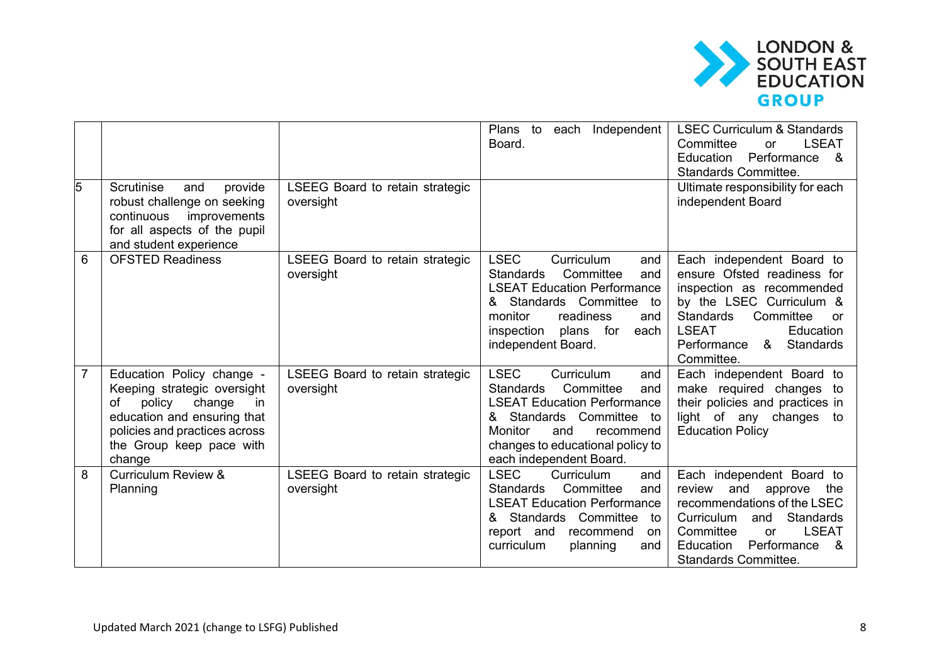

| 5              | Scrutinise<br>provide<br>and<br>robust challenge on seeking<br>continuous<br>improvements                                                                                                      | LSEEG Board to retain strategic<br>oversight | Plans<br>Independent<br>each<br>to<br>Board.                                                                                                                                                                                                    | <b>LSEC Curriculum &amp; Standards</b><br><b>LSEAT</b><br>Committee<br>or<br>Education<br>Performance<br>- &<br>Standards Committee.<br>Ultimate responsibility for each<br>independent Board                                 |
|----------------|------------------------------------------------------------------------------------------------------------------------------------------------------------------------------------------------|----------------------------------------------|-------------------------------------------------------------------------------------------------------------------------------------------------------------------------------------------------------------------------------------------------|-------------------------------------------------------------------------------------------------------------------------------------------------------------------------------------------------------------------------------|
|                | for all aspects of the pupil<br>and student experience                                                                                                                                         |                                              |                                                                                                                                                                                                                                                 |                                                                                                                                                                                                                               |
| 6              | <b>OFSTED Readiness</b>                                                                                                                                                                        | LSEEG Board to retain strategic<br>oversight | <b>LSEC</b><br>Curriculum<br>and<br>Committee<br><b>Standards</b><br>and<br><b>LSEAT Education Performance</b><br>& Standards Committee<br>to<br>monitor<br>readiness<br>and<br>inspection<br>plans for<br>each<br>independent Board.           | Each independent Board to<br>ensure Ofsted readiness for<br>inspection as recommended<br>by the LSEC Curriculum &<br>Committee<br>Standards<br>or<br><b>LSEAT</b><br>Education<br>Performance &<br>Standards<br>Committee.    |
| $\overline{7}$ | Education Policy change -<br>Keeping strategic oversight<br>policy<br>change<br>οf<br>in<br>education and ensuring that<br>policies and practices across<br>the Group keep pace with<br>change | LSEEG Board to retain strategic<br>oversight | <b>LSEC</b><br>Curriculum<br>and<br>Committee<br><b>Standards</b><br>and<br><b>LSEAT Education Performance</b><br>& Standards Committee to<br><b>Monitor</b><br>and<br>recommend<br>changes to educational policy to<br>each independent Board. | Each independent Board to<br>make required changes to<br>their policies and practices in<br>light of any changes to<br><b>Education Policy</b>                                                                                |
| 8              | <b>Curriculum Review &amp;</b><br>Planning                                                                                                                                                     | LSEEG Board to retain strategic<br>oversight | <b>LSEC</b><br>Curriculum<br>and<br>Committee<br><b>Standards</b><br>and<br><b>LSEAT Education Performance</b><br>& Standards Committee<br>to<br>report and recommend<br>on<br>curriculum<br>planning<br>and                                    | Each independent Board to<br>review and approve<br>the<br>recommendations of the LSEC<br>Curriculum<br>Standards<br>and<br><b>LSEAT</b><br>Committee<br><sub>or</sub><br>Education Performance<br>- &<br>Standards Committee. |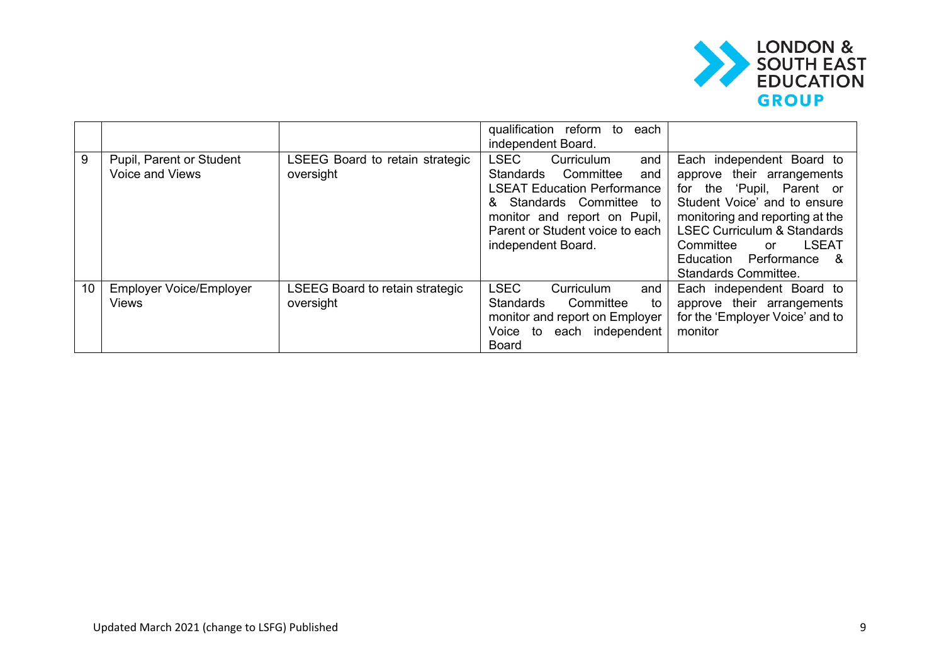

|    |                                                    |                                              | qualification reform<br>each<br>to<br>independent Board.                                                                                                                                                                                    |                                                                                                                                                                                                                                                                                  |
|----|----------------------------------------------------|----------------------------------------------|---------------------------------------------------------------------------------------------------------------------------------------------------------------------------------------------------------------------------------------------|----------------------------------------------------------------------------------------------------------------------------------------------------------------------------------------------------------------------------------------------------------------------------------|
| 9  | Pupil, Parent or Student<br><b>Voice and Views</b> | LSEEG Board to retain strategic<br>oversight | <b>LSEC</b><br>Curriculum<br>and<br>Standards Committee<br>and<br><b>LSEAT Education Performance</b><br>Standards Committee<br>$\mathcal{R}$<br>to<br>monitor and report on Pupil,<br>Parent or Student voice to each<br>independent Board. | Each independent Board to<br>approve their arrangements<br>for the 'Pupil, Parent or<br>Student Voice' and to ensure<br>monitoring and reporting at the<br><b>LSEC Curriculum &amp; Standards</b><br>Committee<br>LSEAT<br>or<br>Education Performance &<br>Standards Committee. |
| 10 | <b>Employer Voice/Employer</b><br><b>Views</b>     | LSEEG Board to retain strategic<br>oversight | <b>LSEC</b><br>Curriculum<br>and<br><b>Standards</b><br>Committee<br>to<br>monitor and report on Employer<br>Voice to each independent<br><b>Board</b>                                                                                      | Each independent Board to<br>approve their arrangements<br>for the 'Employer Voice' and to<br>monitor                                                                                                                                                                            |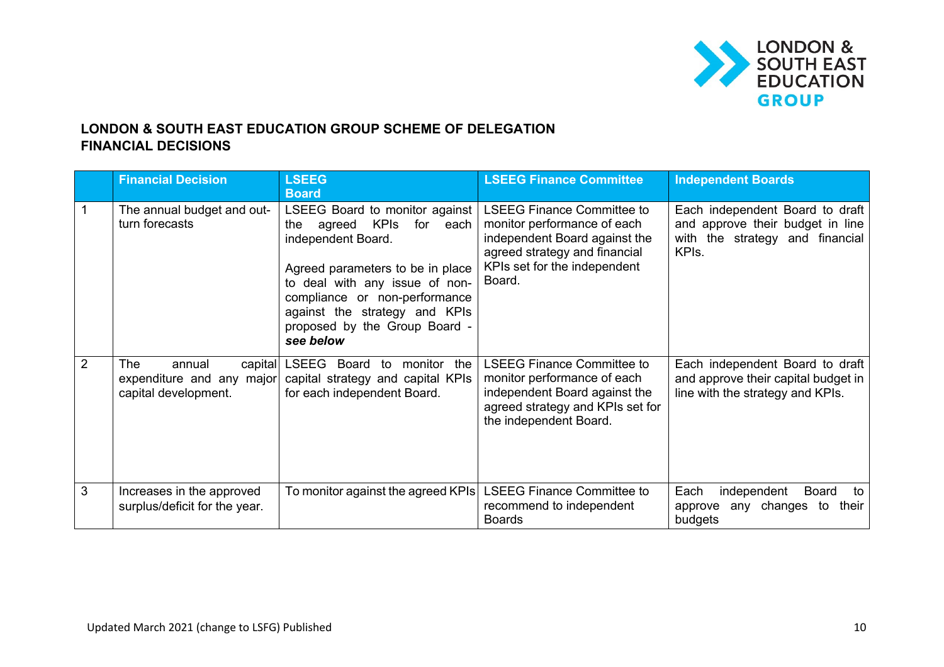

## **LONDON & SOUTH EAST EDUCATION GROUP SCHEME OF DELEGATION FINANCIAL DECISIONS**

|   | <b>Financial Decision</b>                                  | <b>LSEEG</b><br><b>Board</b>                                                                                                                                                                                                                                              | <b>LSEEG Finance Committee</b>                                                                                                                                               | <b>Independent Boards</b>                                                                                                    |
|---|------------------------------------------------------------|---------------------------------------------------------------------------------------------------------------------------------------------------------------------------------------------------------------------------------------------------------------------------|------------------------------------------------------------------------------------------------------------------------------------------------------------------------------|------------------------------------------------------------------------------------------------------------------------------|
|   | The annual budget and out-<br>turn forecasts               | LSEEG Board to monitor against<br>the agreed KPIs<br>for each<br>independent Board.<br>Agreed parameters to be in place<br>to deal with any issue of non-<br>compliance or non-performance<br>against the strategy and KPIs<br>proposed by the Group Board -<br>see below | <b>LSEEG Finance Committee to</b><br>monitor performance of each<br>independent Board against the<br>agreed strategy and financial<br>KPIs set for the independent<br>Board. | Each independent Board to draft<br>and approve their budget in line<br>with the strategy and financial<br>KPI <sub>s</sub> . |
| 2 | The<br>annual<br>capital development.                      | capital LSEEG Board<br>to<br>monitor the<br>expenditure and any major capital strategy and capital KPIs<br>for each independent Board.                                                                                                                                    | <b>LSEEG Finance Committee to</b><br>monitor performance of each<br>independent Board against the<br>agreed strategy and KPIs set for<br>the independent Board.              | Each independent Board to draft<br>and approve their capital budget in<br>line with the strategy and KPIs.                   |
| 3 | Increases in the approved<br>surplus/deficit for the year. | To monitor against the agreed KPIs                                                                                                                                                                                                                                        | <b>LSEEG Finance Committee to</b><br>recommend to independent<br><b>Boards</b>                                                                                               | Each<br>independent<br><b>Board</b><br>to<br>any changes<br>their<br>approve<br>to<br>budgets                                |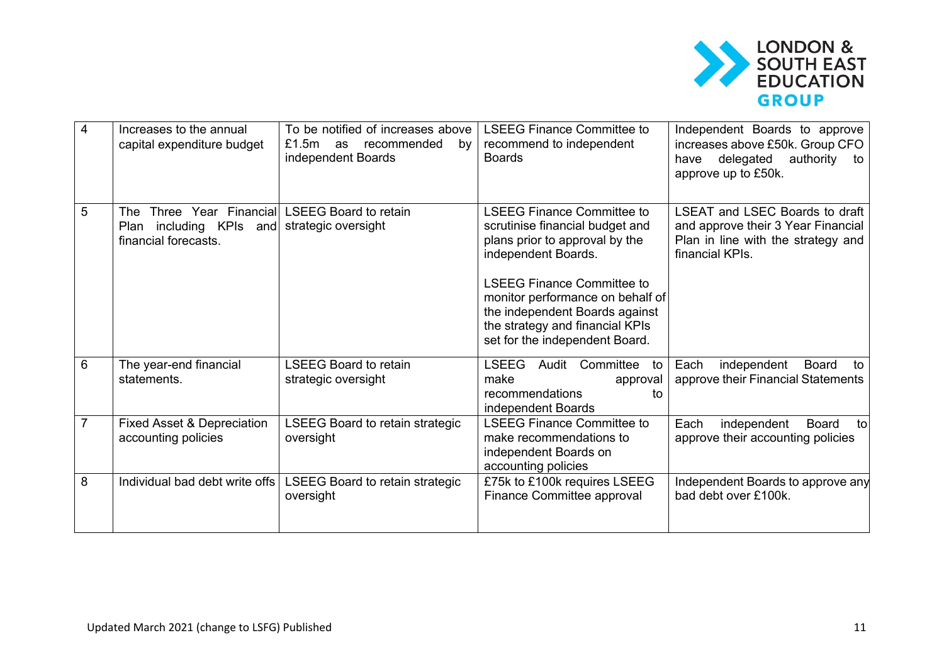

| $\overline{4}$ | Increases to the annual<br>capital expenditure budget                       | To be notified of increases above<br>£1.5 $m$ as<br>recommended<br>by<br>independent Boards | <b>LSEEG Finance Committee to</b><br>recommend to independent<br><b>Boards</b>                                                                                                                                                                                                                                | Independent Boards to approve<br>increases above £50k. Group CFO<br>have delegated<br>authority<br>to<br>approve up to £50k.  |
|----------------|-----------------------------------------------------------------------------|---------------------------------------------------------------------------------------------|---------------------------------------------------------------------------------------------------------------------------------------------------------------------------------------------------------------------------------------------------------------------------------------------------------------|-------------------------------------------------------------------------------------------------------------------------------|
| 5              | The.<br>Plan including KPIs and strategic oversight<br>financial forecasts. | Three Year Financial LSEEG Board to retain                                                  | <b>LSEEG Finance Committee to</b><br>scrutinise financial budget and<br>plans prior to approval by the<br>independent Boards.<br><b>LSEEG Finance Committee to</b><br>monitor performance on behalf of<br>the independent Boards against<br>the strategy and financial KPIs<br>set for the independent Board. | LSEAT and LSEC Boards to draft<br>and approve their 3 Year Financial<br>Plan in line with the strategy and<br>financial KPIs. |
| 6              | The year-end financial<br>statements.                                       | <b>LSEEG Board to retain</b><br>strategic oversight                                         | LSEEG Audit Committee<br>to<br>make<br>approval<br>recommendations<br>to<br>independent Boards                                                                                                                                                                                                                | Each<br>independent<br><b>Board</b><br>to<br>approve their Financial Statements                                               |
| 7              | <b>Fixed Asset &amp; Depreciation</b><br>accounting policies                | LSEEG Board to retain strategic<br>oversight                                                | <b>LSEEG Finance Committee to</b><br>make recommendations to<br>independent Boards on<br>accounting policies                                                                                                                                                                                                  | Each<br>independent<br><b>Board</b><br>to<br>approve their accounting policies                                                |
| 8              | Individual bad debt write offs                                              | LSEEG Board to retain strategic<br>oversight                                                | £75k to £100k requires LSEEG<br>Finance Committee approval                                                                                                                                                                                                                                                    | Independent Boards to approve any<br>bad debt over £100k.                                                                     |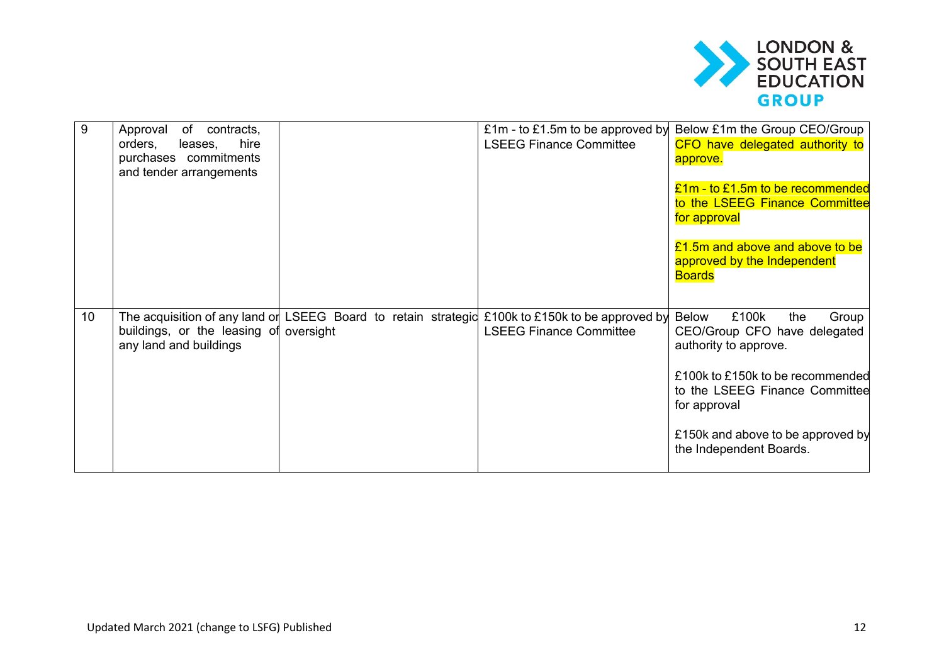

| 9               | Approval<br>of contracts,<br>orders,<br>leases,<br>hire<br>purchases commitments<br>and tender arrangements | £1m - to £1.5m to be approved by<br><b>LSEEG Finance Committee</b>                                                                | Below £1m the Group CEO/Group<br>CFO have delegated authority to<br>approve.<br>$£1m - to £1.5m$ to be recommended<br>to the LSEEG Finance Committee<br>for approval<br>£1.5m and above and above to be<br>approved by the Independent<br><b>Boards</b> |
|-----------------|-------------------------------------------------------------------------------------------------------------|-----------------------------------------------------------------------------------------------------------------------------------|---------------------------------------------------------------------------------------------------------------------------------------------------------------------------------------------------------------------------------------------------------|
| 10 <sup>°</sup> | buildings, or the leasing of oversight<br>any land and buildings                                            | The acquisition of any land or LSEEG Board to retain strategic £100k to £150k to be approved by<br><b>LSEEG Finance Committee</b> | £100k<br>Below<br>the<br>Group<br>CEO/Group CFO have delegated<br>authority to approve.<br>£100k to £150k to be recommended<br>to the LSEEG Finance Committee<br>for approval<br>£150k and above to be approved by<br>the Independent Boards.           |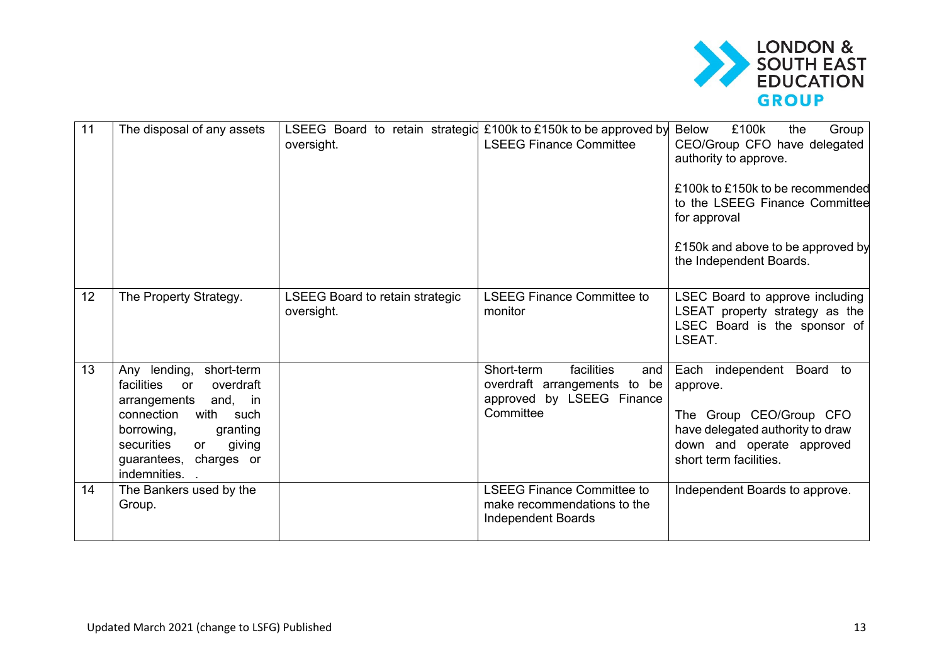

| 11 | The disposal of any assets                                                                                                                                                                                             | LSEEG Board to retain strategic £100k to £150k to be approved by<br>oversight. | <b>LSEEG Finance Committee</b>                                                                            | £100k<br><b>Below</b><br>the<br>Group<br>CEO/Group CFO have delegated<br>authority to approve.                                                                 |
|----|------------------------------------------------------------------------------------------------------------------------------------------------------------------------------------------------------------------------|--------------------------------------------------------------------------------|-----------------------------------------------------------------------------------------------------------|----------------------------------------------------------------------------------------------------------------------------------------------------------------|
|    |                                                                                                                                                                                                                        |                                                                                |                                                                                                           | £100k to £150k to be recommended<br>to the LSEEG Finance Committee<br>for approval                                                                             |
|    |                                                                                                                                                                                                                        |                                                                                |                                                                                                           | £150k and above to be approved by<br>the Independent Boards.                                                                                                   |
| 12 | The Property Strategy.                                                                                                                                                                                                 | LSEEG Board to retain strategic<br>oversight.                                  | <b>LSEEG Finance Committee to</b><br>monitor                                                              | LSEC Board to approve including<br>LSEAT property strategy as the<br>LSEC Board is the sponsor of<br>LSEAT.                                                    |
| 13 | Any lending,<br>short-term<br>facilities<br>overdraft<br>or<br>and, in<br>arrangements<br>connection<br>with such<br>granting<br>borrowing,<br>securities<br>giving<br>or<br>guarantees,<br>charges or<br>indemnities. |                                                                                | Short-term<br>facilities<br>and<br>overdraft arrangements to be<br>approved by LSEEG Finance<br>Committee | Each independent Board<br>to<br>approve.<br>The Group CEO/Group CFO<br>have delegated authority to draw<br>down and operate approved<br>short term facilities. |
| 14 | The Bankers used by the<br>Group.                                                                                                                                                                                      |                                                                                | <b>LSEEG Finance Committee to</b><br>make recommendations to the<br>Independent Boards                    | Independent Boards to approve.                                                                                                                                 |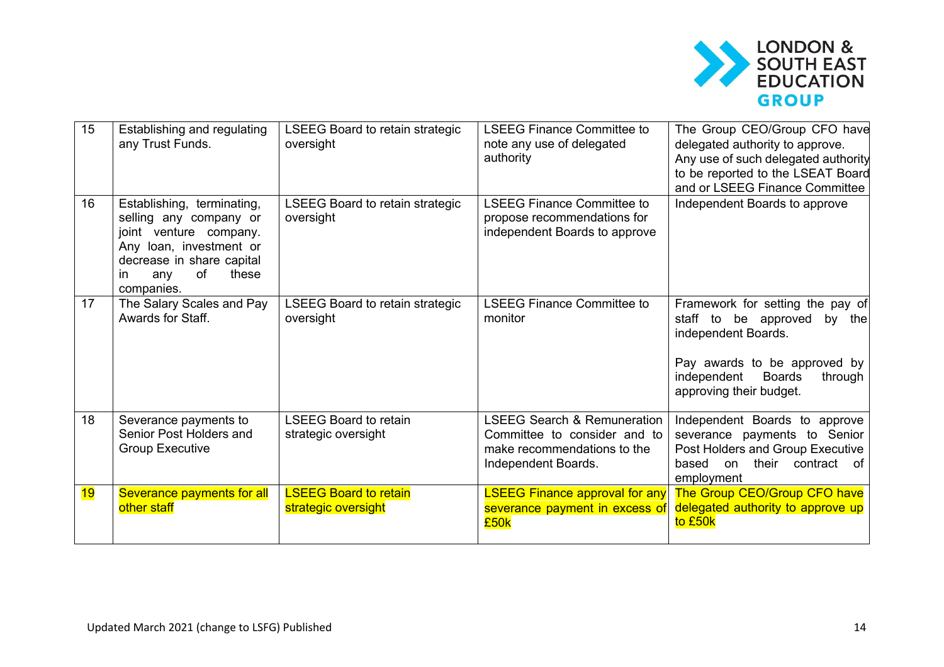

| 15 | Establishing and regulating<br>any Trust Funds.                                                                                                                                   | LSEEG Board to retain strategic<br>oversight        | <b>LSEEG Finance Committee to</b><br>note any use of delegated<br>authority                                                  | The Group CEO/Group CFO have<br>delegated authority to approve.<br>Any use of such delegated authority<br>to be reported to the LSEAT Board<br>and or LSEEG Finance Committee                   |
|----|-----------------------------------------------------------------------------------------------------------------------------------------------------------------------------------|-----------------------------------------------------|------------------------------------------------------------------------------------------------------------------------------|-------------------------------------------------------------------------------------------------------------------------------------------------------------------------------------------------|
| 16 | Establishing, terminating,<br>selling any company or<br>joint venture company.<br>Any loan, investment or<br>decrease in share capital<br>of<br>these<br>any<br>in.<br>companies. | LSEEG Board to retain strategic<br>oversight        | <b>LSEEG Finance Committee to</b><br>propose recommendations for<br>independent Boards to approve                            | Independent Boards to approve                                                                                                                                                                   |
| 17 | The Salary Scales and Pay<br>Awards for Staff.                                                                                                                                    | LSEEG Board to retain strategic<br>oversight        | <b>LSEEG Finance Committee to</b><br>monitor                                                                                 | Framework for setting the pay of<br>staff to be approved<br>by the<br>independent Boards.<br>Pay awards to be approved by<br>independent<br><b>Boards</b><br>through<br>approving their budget. |
| 18 | Severance payments to<br>Senior Post Holders and<br><b>Group Executive</b>                                                                                                        | <b>LSEEG Board to retain</b><br>strategic oversight | <b>LSEEG Search &amp; Remuneration</b><br>Committee to consider and to<br>make recommendations to the<br>Independent Boards. | Independent Boards to approve<br>severance payments to Senior<br>Post Holders and Group Executive<br>their contract of<br>based on<br>employment                                                |
| 19 | Severance payments for all<br>other staff                                                                                                                                         | <b>LSEEG Board to retain</b><br>strategic oversight | <b>LSEEG Finance approval for any</b><br>severance payment in excess of<br>£50k                                              | The Group CEO/Group CFO have<br>delegated authority to approve up<br>to £50k                                                                                                                    |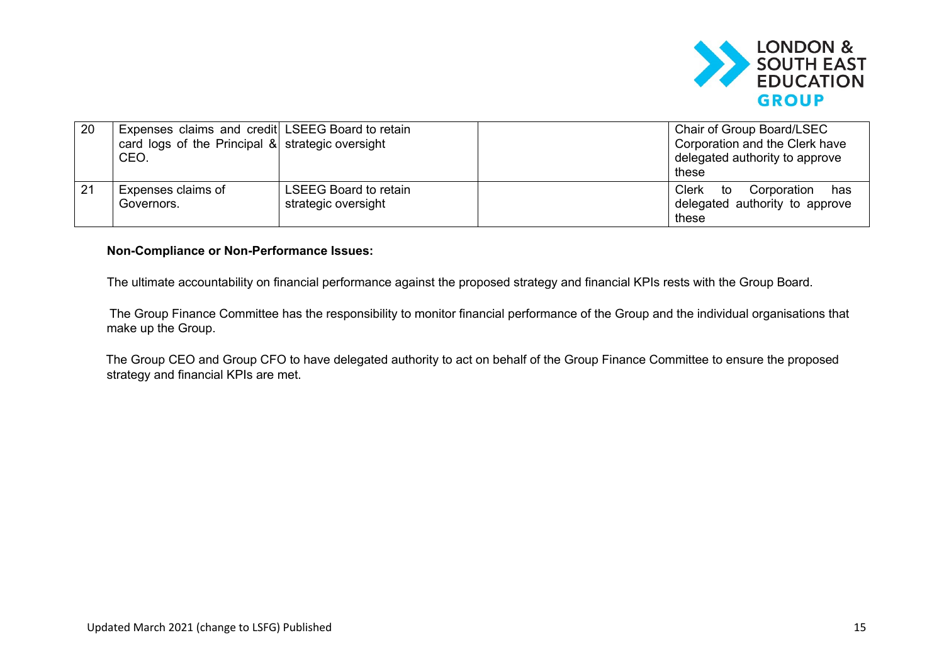

| 20 | Expenses claims and credit LSEEG Board to retain<br>card logs of the Principal $\&$ strategic oversight<br>CEO. |                                              | Chair of Group Board/LSEC<br>Corporation and the Clerk have<br>delegated authority to approve<br>these |
|----|-----------------------------------------------------------------------------------------------------------------|----------------------------------------------|--------------------------------------------------------------------------------------------------------|
| 21 | Expenses claims of<br>Governors.                                                                                | LSEEG Board to retain<br>strategic oversight | <b>Clerk</b><br>Corporation<br>has<br>to<br>delegated authority to approve<br>these                    |

#### **Non-Compliance or Non-Performance Issues:**

The ultimate accountability on financial performance against the proposed strategy and financial KPIs rests with the Group Board.

The Group Finance Committee has the responsibility to monitor financial performance of the Group and the individual organisations that make up the Group.

The Group CEO and Group CFO to have delegated authority to act on behalf of the Group Finance Committee to ensure the proposed strategy and financial KPIs are met.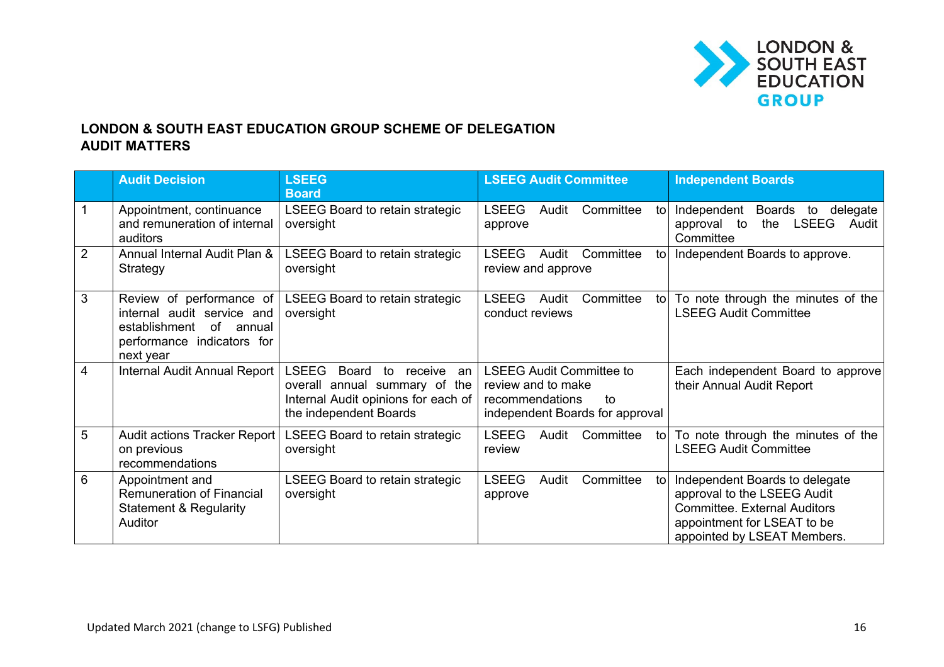

# **LONDON & SOUTH EAST EDUCATION GROUP SCHEME OF DELEGATION AUDIT MATTERS**

|                | <b>Audit Decision</b>                                                                                                        | <b>LSEEG</b><br><b>Board</b>                                                                                                            | <b>LSEEG Audit Committee</b>                                                                                      | <b>Independent Boards</b>                                                                                                                                          |
|----------------|------------------------------------------------------------------------------------------------------------------------------|-----------------------------------------------------------------------------------------------------------------------------------------|-------------------------------------------------------------------------------------------------------------------|--------------------------------------------------------------------------------------------------------------------------------------------------------------------|
|                | Appointment, continuance<br>and remuneration of internal<br>auditors                                                         | LSEEG Board to retain strategic<br>oversight                                                                                            | <b>LSEEG</b><br>Committee<br>Audit<br>tol<br>approve                                                              | Boards<br>Independent<br>delegate<br>to<br>the LSEEG<br>approval to<br>Audit<br>Committee                                                                          |
| $\overline{2}$ | Annual Internal Audit Plan &<br>Strategy                                                                                     | LSEEG Board to retain strategic<br>oversight                                                                                            | <b>LSEEG</b><br>Committee<br>Audit<br>tol<br>review and approve                                                   | Independent Boards to approve.                                                                                                                                     |
| 3              | Review of performance of<br>internal audit service and<br>establishment of annual<br>performance indicators for<br>next year | LSEEG Board to retain strategic<br>oversight                                                                                            | LSEEG<br>Committee<br>Audit<br>to<br>conduct reviews                                                              | To note through the minutes of the<br><b>LSEEG Audit Committee</b>                                                                                                 |
| 4              | Internal Audit Annual Report                                                                                                 | LSEEG<br>Board<br>receive<br>to<br>an<br>overall annual summary of the<br>Internal Audit opinions for each of<br>the independent Boards | <b>LSEEG Audit Committee to</b><br>review and to make<br>recommendations<br>to<br>independent Boards for approval | Each independent Board to approve<br>their Annual Audit Report                                                                                                     |
| 5              | Audit actions Tracker Report<br>on previous<br>recommendations                                                               | LSEEG Board to retain strategic<br>oversight                                                                                            | <b>LSEEG</b><br>Committee<br>Audit<br>to<br>review                                                                | To note through the minutes of the<br><b>LSEEG Audit Committee</b>                                                                                                 |
| 6              | Appointment and<br><b>Remuneration of Financial</b><br><b>Statement &amp; Regularity</b><br>Auditor                          | LSEEG Board to retain strategic<br>oversight                                                                                            | <b>LSEEG</b><br>Audit<br>Committee<br>to<br>approve                                                               | Independent Boards to delegate<br>approval to the LSEEG Audit<br><b>Committee. External Auditors</b><br>appointment for LSEAT to be<br>appointed by LSEAT Members. |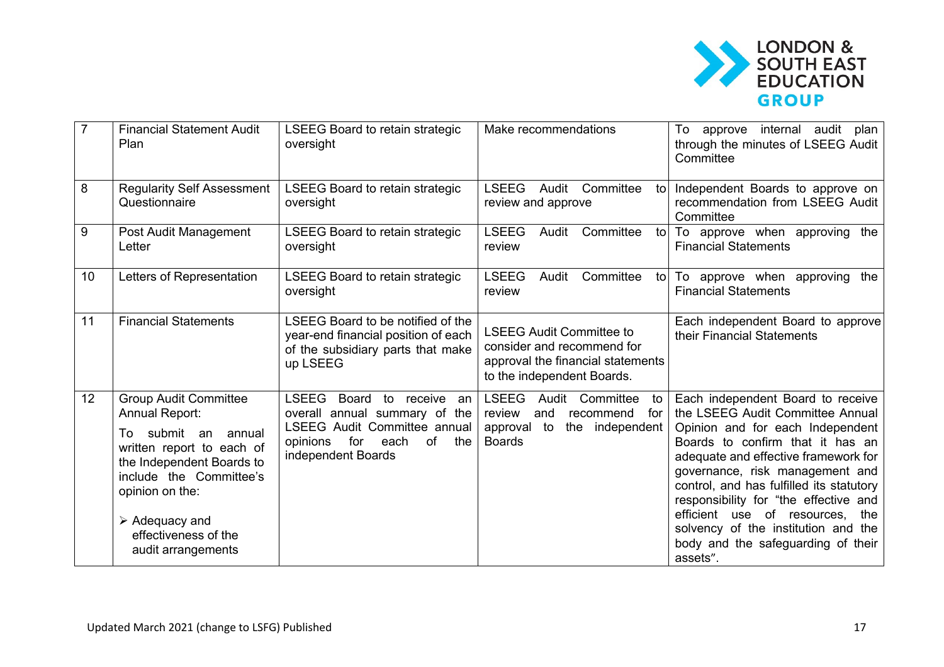

| 7  | <b>Financial Statement Audit</b><br>Plan                                                                                                                                                                                                                                   | LSEEG Board to retain strategic<br>oversight                                                                                                                | Make recommendations                                                                                                             | To approve internal audit<br>plan<br>through the minutes of LSEEG Audit<br>Committee                                                                                                                                                                                                                                                                                                                                                         |
|----|----------------------------------------------------------------------------------------------------------------------------------------------------------------------------------------------------------------------------------------------------------------------------|-------------------------------------------------------------------------------------------------------------------------------------------------------------|----------------------------------------------------------------------------------------------------------------------------------|----------------------------------------------------------------------------------------------------------------------------------------------------------------------------------------------------------------------------------------------------------------------------------------------------------------------------------------------------------------------------------------------------------------------------------------------|
| 8  | <b>Regularity Self Assessment</b><br>Questionnaire                                                                                                                                                                                                                         | LSEEG Board to retain strategic<br>oversight                                                                                                                | <b>LSEEG</b><br>Audit<br>Committee<br>tol<br>review and approve                                                                  | Independent Boards to approve on<br>recommendation from LSEEG Audit<br>Committee                                                                                                                                                                                                                                                                                                                                                             |
| 9  | Post Audit Management<br>Letter                                                                                                                                                                                                                                            | LSEEG Board to retain strategic<br>oversight                                                                                                                | <b>LSEEG</b><br>Audit<br>Committee<br>tol<br>review                                                                              | To approve when approving the<br><b>Financial Statements</b>                                                                                                                                                                                                                                                                                                                                                                                 |
| 10 | Letters of Representation                                                                                                                                                                                                                                                  | LSEEG Board to retain strategic<br>oversight                                                                                                                | <b>LSEEG</b><br>Audit<br>Committee<br>to<br>review                                                                               | To approve when approving the<br><b>Financial Statements</b>                                                                                                                                                                                                                                                                                                                                                                                 |
| 11 | <b>Financial Statements</b>                                                                                                                                                                                                                                                | LSEEG Board to be notified of the<br>year-end financial position of each<br>of the subsidiary parts that make<br>up LSEEG                                   | <b>LSEEG Audit Committee to</b><br>consider and recommend for<br>approval the financial statements<br>to the independent Boards. | Each independent Board to approve<br>their Financial Statements                                                                                                                                                                                                                                                                                                                                                                              |
| 12 | <b>Group Audit Committee</b><br><b>Annual Report:</b><br>submit an<br>annual<br>To:<br>written report to each of<br>the Independent Boards to<br>include the Committee's<br>opinion on the:<br>$\triangleright$ Adequacy and<br>effectiveness of the<br>audit arrangements | LSEEG Board to receive<br>an<br>overall annual summary of the<br>LSEEG Audit Committee annual<br>for<br>of<br>each<br>the<br>opinions<br>independent Boards | <b>LSEEG</b><br>Committee<br>Audit<br>to<br>and<br>review<br>recommend<br>for<br>the independent<br>approval to<br><b>Boards</b> | Each independent Board to receive<br>the LSEEG Audit Committee Annual<br>Opinion and for each Independent<br>Boards to confirm that it has an<br>adequate and effective framework for<br>governance, risk management and<br>control, and has fulfilled its statutory<br>responsibility for "the effective and<br>efficient use of resources,<br>the<br>solvency of the institution and the<br>body and the safeguarding of their<br>assets". |